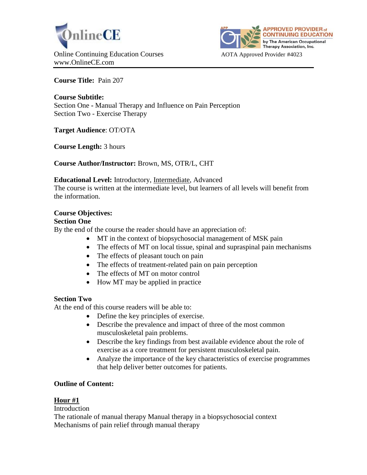



**Course Title:** Pain 207

**Course Subtitle:**  Section One **-** Manual Therapy and Influence on Pain Perception Section Two - Exercise Therapy

**Target Audience**: OT/OTA

**Course Length:** 3 hours

**Course Author/Instructor:** Brown, MS, OTR/L, CHT

### **Educational Level:** Introductory, Intermediate, Advanced

The course is written at the intermediate level, but learners of all levels will benefit from the information.

# **Course Objectives:**

### **Section One**

By the end of the course the reader should have an appreciation of:

- MT in the context of biopsychosocial management of MSK pain
- The effects of MT on local tissue, spinal and supraspinal pain mechanisms
- The effects of pleasant touch on pain
- The effects of treatment-related pain on pain perception
- The effects of MT on motor control
- How MT may be applied in practice

# **Section Two**

At the end of this course readers will be able to:

- Define the key principles of exercise.
- Describe the prevalence and impact of three of the most common musculoskeletal pain problems.
- Describe the key findings from best available evidence about the role of exercise as a core treatment for persistent musculoskeletal pain.
- Analyze the importance of the key characteristics of exercise programmes that help deliver better outcomes for patients.

# **Outline of Content:**

# **Hour #1**

### **Introduction**

The rationale of manual therapy Manual therapy in a biopsychosocial context Mechanisms of pain relief through manual therapy